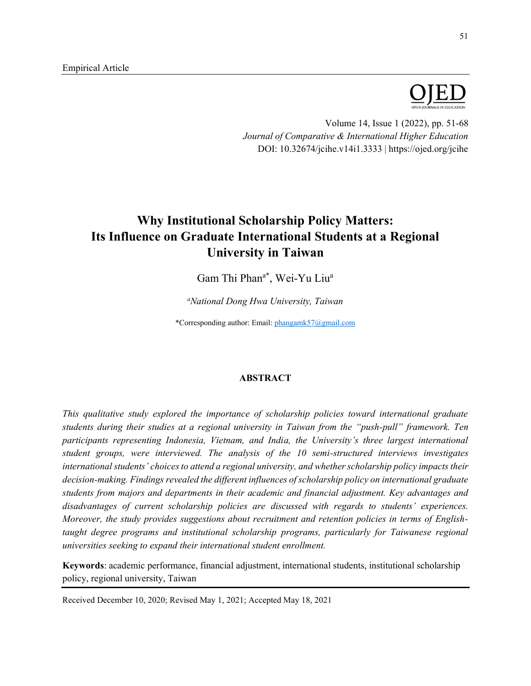

Volume 14, Issue 1 (2022), pp. 51-68 *Journal of Comparative & International Higher Education* DOI: 10.32674/jcihe.v14i1.3333 | https://ojed.org/jcihe

# **Why Institutional Scholarship Policy Matters: Its Influence on Graduate International Students at a Regional University in Taiwan**

Gam Thi Phan<sup>a\*</sup>, Wei-Yu Liu<sup>a</sup>

*a National Dong Hwa University, Taiwan*

\*Corresponding author: Email[: phangamk57@gmail.com](mailto:phangamk57@gmail.com)

## **ABSTRACT**

*This qualitative study explored the importance of scholarship policies toward international graduate students during their studies at a regional university in Taiwan from the "push-pull" framework. Ten participants representing Indonesia, Vietnam, and India, the University's three largest international student groups, were interviewed. The analysis of the 10 semi-structured interviews investigates international students' choices to attend a regional university, and whether scholarship policy impacts their decision-making. Findings revealed the different influences of scholarship policy on international graduate students from majors and departments in their academic and financial adjustment. Key advantages and disadvantages of current scholarship policies are discussed with regards to students' experiences. Moreover, the study provides suggestions about recruitment and retention policies in terms of Englishtaught degree programs and institutional scholarship programs, particularly for Taiwanese regional universities seeking to expand their international student enrollment.* 

**Keywords**: academic performance, financial adjustment, international students, institutional scholarship policy, regional university, Taiwan

Received December 10, 2020; Revised May 1, 2021; Accepted May 18, 2021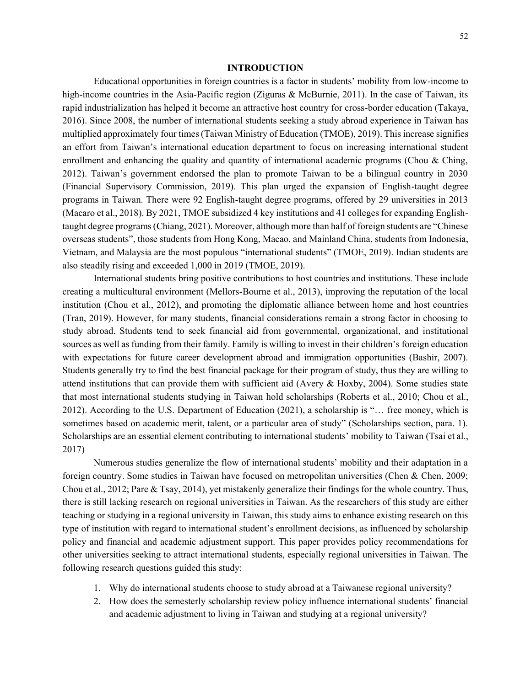#### **INTRODUCTION**

Educational opportunities in foreign countries is a factor in students' mobility from low-income to high-income countries in the Asia-Pacific region (Ziguras & McBurnie, 2011). In the case of Taiwan, its rapid industrialization has helped it become an attractive host country for cross-border education (Takaya, 2016). Since 2008, the number of international students seeking a study abroad experience in Taiwan has multiplied approximately four times (Taiwan Ministry of Education (TMOE), 2019). This increase signifies an effort from Taiwan's international education department to focus on increasing international student enrollment and enhancing the quality and quantity of international academic programs (Chou & Ching, 2012). Taiwan's government endorsed the plan to promote Taiwan to be a bilingual country in 2030 (Financial Supervisory Commission, 2019). This plan urged the expansion of English-taught degree programs in Taiwan. There were 92 English-taught degree programs, offered by 29 universities in 2013 (Macaro et al., 2018). By 2021, TMOE subsidized 4 key institutions and 41 colleges for expanding Englishtaught degree programs (Chiang, 2021). Moreover, although more than half of foreign students are "Chinese overseas students", those students from Hong Kong, Macao, and Mainland China, students from Indonesia, Vietnam, and Malaysia are the most populous "international students" (TMOE, 2019). Indian students are also steadily rising and exceeded 1,000 in 2019 (TMOE, 2019).

International students bring positive contributions to host countries and institutions. These include creating a multicultural environment (Mellors-Bourne et al., 2013), improving the reputation of the local institution (Chou et al., 2012), and promoting the diplomatic alliance between home and host countries (Tran, 2019). However, for many students, financial considerations remain a strong factor in choosing to study abroad. Students tend to seek financial aid from governmental, organizational, and institutional sources as well as funding from their family. Family is willing to invest in their children's foreign education with expectations for future career development abroad and immigration opportunities (Bashir, 2007). Students generally try to find the best financial package for their program of study, thus they are willing to attend institutions that can provide them with sufficient aid (Avery & Hoxby, 2004). Some studies state that most international students studying in Taiwan hold scholarships (Roberts et al., 2010; Chou et al., 2012). According to the U.S. Department of Education (2021), a scholarship is "… free money, which is sometimes based on academic merit, talent, or a particular area of study" (Scholarships section, para. 1). Scholarships are an essential element contributing to international students' mobility to Taiwan (Tsai et al., 2017)

Numerous studies generalize the flow of international students' mobility and their adaptation in a foreign country. Some studies in Taiwan have focused on metropolitan universities (Chen & Chen, 2009; Chou et al., 2012; Pare & Tsay, 2014), yet mistakenly generalize their findings for the whole country. Thus, there is still lacking research on regional universities in Taiwan. As the researchers of this study are either teaching or studying in a regional university in Taiwan, this study aims to enhance existing research on this type of institution with regard to international student's enrollment decisions, as influenced by scholarship policy and financial and academic adjustment support. This paper provides policy recommendations for other universities seeking to attract international students, especially regional universities in Taiwan. The following research questions guided this study:

- 1. Why do international students choose to study abroad at a Taiwanese regional university?
- 2. How does the semesterly scholarship review policy influence international students' financial and academic adjustment to living in Taiwan and studying at a regional university?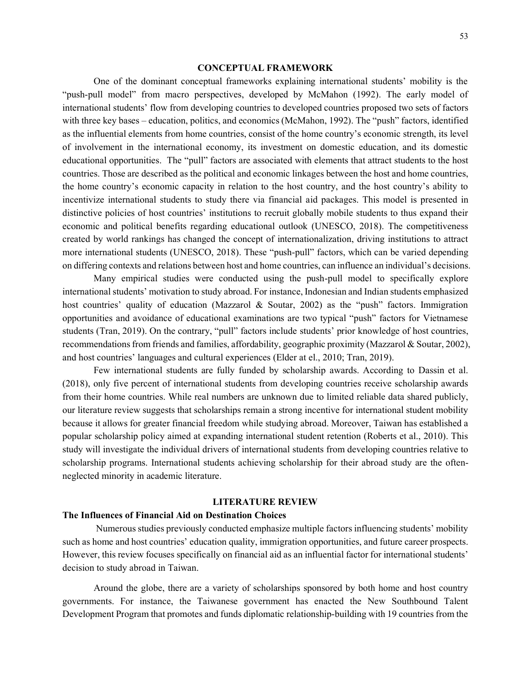#### **CONCEPTUAL FRAMEWORK**

One of the dominant conceptual frameworks explaining international students' mobility is the "push-pull model" from macro perspectives, developed by McMahon (1992). The early model of international students' flow from developing countries to developed countries proposed two sets of factors with three key bases – education, politics, and economics (McMahon, 1992). The "push" factors, identified as the influential elements from home countries, consist of the home country's economic strength, its level of involvement in the international economy, its investment on domestic education, and its domestic educational opportunities. The "pull" factors are associated with elements that attract students to the host countries. Those are described as the political and economic linkages between the host and home countries, the home country's economic capacity in relation to the host country, and the host country's ability to incentivize international students to study there via financial aid packages. This model is presented in distinctive policies of host countries' institutions to recruit globally mobile students to thus expand their economic and political benefits regarding educational outlook (UNESCO, 2018). The competitiveness created by world rankings has changed the concept of internationalization, driving institutions to attract more international students (UNESCO, 2018). These "push-pull" factors, which can be varied depending on differing contexts and relations between host and home countries, can influence an individual's decisions.

Many empirical studies were conducted using the push-pull model to specifically explore international students' motivation to study abroad. For instance, Indonesian and Indian students emphasized host countries' quality of education (Mazzarol & Soutar, 2002) as the "push" factors. Immigration opportunities and avoidance of educational examinations are two typical "push" factors for Vietnamese students (Tran, 2019). On the contrary, "pull" factors include students' prior knowledge of host countries, recommendations from friends and families, affordability, geographic proximity (Mazzarol & Soutar, 2002), and host countries' languages and cultural experiences (Elder at el., 2010; Tran, 2019).

Few international students are fully funded by scholarship awards. According to Dassin et al. (2018), only five percent of international students from developing countries receive scholarship awards from their home countries. While real numbers are unknown due to limited reliable data shared publicly, our literature review suggests that scholarships remain a strong incentive for international student mobility because it allows for greater financial freedom while studying abroad. Moreover, Taiwan has established a popular scholarship policy aimed at expanding international student retention (Roberts et al., 2010). This study will investigate the individual drivers of international students from developing countries relative to scholarship programs. International students achieving scholarship for their abroad study are the oftenneglected minority in academic literature.

## **LITERATURE REVIEW**

## **The Influences of Financial Aid on Destination Choices**

Numerous studies previously conducted emphasize multiple factors influencing students' mobility such as home and host countries' education quality, immigration opportunities, and future career prospects. However, this review focuses specifically on financial aid as an influential factor for international students' decision to study abroad in Taiwan.

Around the globe, there are a variety of scholarships sponsored by both home and host country governments. For instance, the Taiwanese government has enacted the New Southbound Talent Development Program that promotes and funds diplomatic relationship-building with 19 countries from the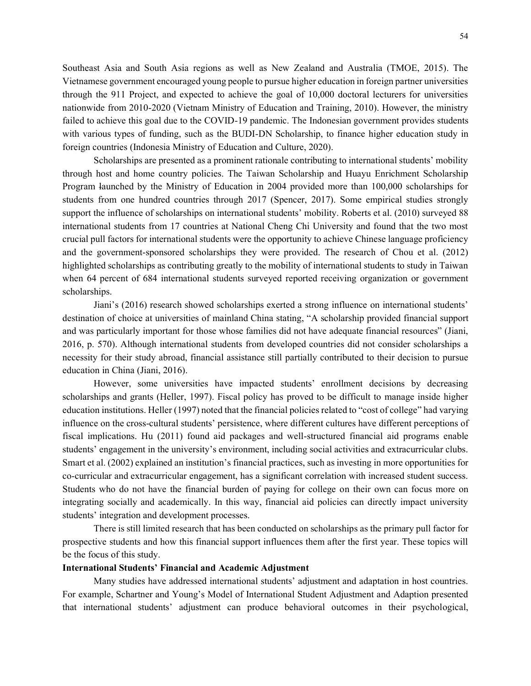Southeast Asia and South Asia regions as well as New Zealand and Australia (TMOE, 2015). The Vietnamese government encouraged young people to pursue higher education in foreign partner universities through the 911 Project, and expected to achieve the goal of 10,000 doctoral lecturers for universities

nationwide from 2010-2020 (Vietnam Ministry of Education and Training, 2010). However, the ministry failed to achieve this goal due to the COVID-19 pandemic. The Indonesian government provides students with various types of funding, such as the BUDI-DN Scholarship, to finance higher education study in foreign countries (Indonesia Ministry of Education and Culture, 2020).

Scholarships are presented as a prominent rationale contributing to international students' mobility through host and home country policies. The Taiwan Scholarship and Huayu Enrichment Scholarship Program launched by the Ministry of Education in 2004 provided more than 100,000 scholarships for students from one hundred countries through 2017 (Spencer, 2017). Some empirical studies strongly support the influence of scholarships on international students' mobility. Roberts et al. (2010) surveyed 88 international students from 17 countries at National Cheng Chi University and found that the two most crucial pull factors for international students were the opportunity to achieve Chinese language proficiency and the government-sponsored scholarships they were provided. The research of Chou et al. (2012) highlighted scholarships as contributing greatly to the mobility of international students to study in Taiwan when 64 percent of 684 international students surveyed reported receiving organization or government scholarships.

Jiani's (2016) research showed scholarships exerted a strong influence on international students' destination of choice at universities of mainland China stating, "A scholarship provided financial support and was particularly important for those whose families did not have adequate financial resources" (Jiani, 2016, p. 570). Although international students from developed countries did not consider scholarships a necessity for their study abroad, financial assistance still partially contributed to their decision to pursue education in China (Jiani, 2016).

However, some universities have impacted students' enrollment decisions by decreasing scholarships and grants (Heller, 1997). Fiscal policy has proved to be difficult to manage inside higher education institutions. Heller (1997) noted that the financial policies related to "cost of college" had varying influence on the cross-cultural students' persistence, where different cultures have different perceptions of fiscal implications. Hu (2011) found aid packages and well-structured financial aid programs enable students' engagement in the university's environment, including social activities and extracurricular clubs. Smart et al. (2002) explained an institution's financial practices, such as investing in more opportunities for co-curricular and extracurricular engagement, has a significant correlation with increased student success. Students who do not have the financial burden of paying for college on their own can focus more on integrating socially and academically. In this way, financial aid policies can directly impact university students' integration and development processes.

There is still limited research that has been conducted on scholarships as the primary pull factor for prospective students and how this financial support influences them after the first year. These topics will be the focus of this study.

## **International Students' Financial and Academic Adjustment**

Many studies have addressed international students' adjustment and adaptation in host countries. For example, Schartner and Young's Model of International Student Adjustment and Adaption presented that international students' adjustment can produce behavioral outcomes in their psychological,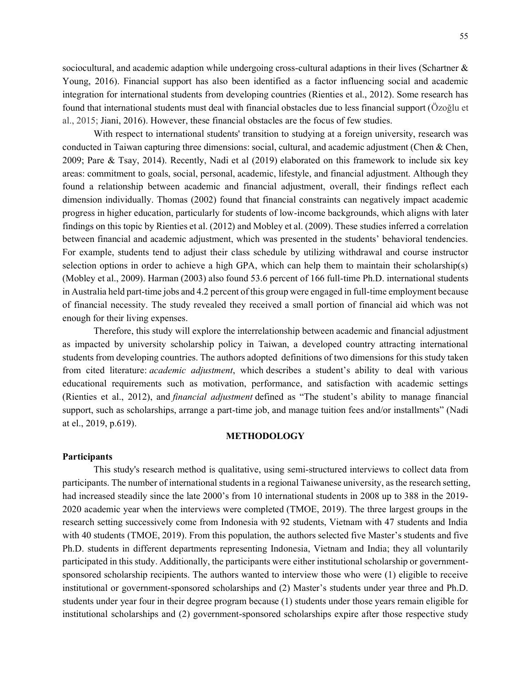sociocultural, and academic adaption while undergoing cross-cultural adaptions in their lives (Schartner & Young, 2016). Financial support has also been identified as a factor influencing social and academic integration for international students from developing countries (Rienties et al., 2012). Some research has found that international students must deal with financial obstacles due to less financial support (Özoğlu et al., 2015; Jiani, 2016). However, these financial obstacles are the focus of few studies.

With respect to international students' transition to studying at a foreign university, research was conducted in Taiwan capturing three dimensions: social, cultural, and academic adjustment (Chen & Chen, 2009; Pare & Tsay, 2014). Recently, Nadi et al (2019) elaborated on this framework to include six key areas: commitment to goals, social, personal, academic, lifestyle, and financial adjustment. Although they found a relationship between academic and financial adjustment, overall, their findings reflect each dimension individually. Thomas (2002) found that financial constraints can negatively impact academic progress in higher education, particularly for students of low-income backgrounds, which aligns with later findings on this topic by Rienties et al. (2012) and Mobley et al. (2009). These studies inferred a correlation between financial and academic adjustment, which was presented in the students' behavioral tendencies. For example, students tend to adjust their class schedule by utilizing withdrawal and course instructor selection options in order to achieve a high GPA, which can help them to maintain their scholarship(s) (Mobley et al., 2009). Harman (2003) also found 53.6 percent of 166 full-time Ph.D. international students in Australia held part-time jobs and 4.2 percent of this group were engaged in full-time employment because of financial necessity. The study revealed they received a small portion of financial aid which was not enough for their living expenses.

Therefore, this study will explore the interrelationship between academic and financial adjustment as impacted by university scholarship policy in Taiwan, a developed country attracting international students from developing countries. The authors adopted definitions of two dimensions for this study taken from cited literature: *academic adjustment*, which describes a student's ability to deal with various educational requirements such as motivation, performance, and satisfaction with academic settings (Rienties et al., 2012), and *financial adjustment* defined as "The student's ability to manage financial support, such as scholarships, arrange a part-time job, and manage tuition fees and/or installments" (Nadi at el., 2019, p.619).

## **METHODOLOGY**

## **Participants**

This study's research method is qualitative, using semi-structured interviews to collect data from participants. The number of international students in a regional Taiwanese university, as the research setting, had increased steadily since the late 2000's from 10 international students in 2008 up to 388 in the 2019- 2020 academic year when the interviews were completed (TMOE, 2019). The three largest groups in the research setting successively come from Indonesia with 92 students, Vietnam with 47 students and India with 40 students (TMOE, 2019). From this population, the authors selected five Master's students and five Ph.D. students in different departments representing Indonesia, Vietnam and India; they all voluntarily participated in this study. Additionally, the participants were either institutional scholarship or governmentsponsored scholarship recipients. The authors wanted to interview those who were (1) eligible to receive institutional or government-sponsored scholarships and (2) Master's students under year three and Ph.D. students under year four in their degree program because (1) students under those years remain eligible for institutional scholarships and (2) government-sponsored scholarships expire after those respective study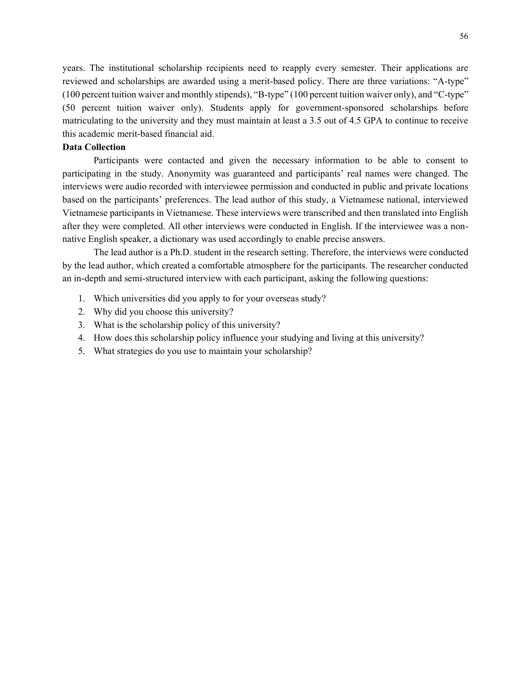years. The institutional scholarship recipients need to reapply every semester. Their applications are reviewed and scholarships are awarded using a merit-based policy. There are three variations: "A-type" (100 percent tuition waiver and monthly stipends), "B-type" (100 percent tuition waiver only), and "C-type" (50 percent tuition waiver only). Students apply for government-sponsored scholarships before matriculating to the university and they must maintain at least a 3.5 out of 4.5 GPA to continue to receive this academic merit-based financial aid.

## **Data Collection**

Participants were contacted and given the necessary information to be able to consent to participating in the study. Anonymity was guaranteed and participants' real names were changed. The interviews were audio recorded with interviewee permission and conducted in public and private locations based on the participants' preferences. The lead author of this study, a Vietnamese national, interviewed Vietnamese participants in Vietnamese. These interviews were transcribed and then translated into English after they were completed. All other interviews were conducted in English. If the interviewee was a nonnative English speaker, a dictionary was used accordingly to enable precise answers.

The lead author is a Ph.D. student in the research setting. Therefore, the interviews were conducted by the lead author, which created a comfortable atmosphere for the participants. The researcher conducted an in-depth and semi-structured interview with each participant, asking the following questions:

- 1. Which universities did you apply to for your overseas study?
- 2. Why did you choose this university?
- 3. What is the scholarship policy of this university?
- 4. How does this scholarship policy influence your studying and living at this university?
- 5. What strategies do you use to maintain your scholarship?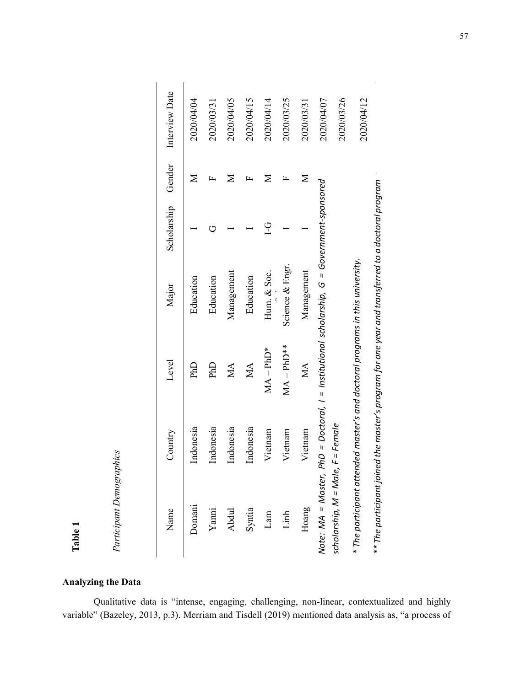|                                                         | Country   | Level                      | Major                                                                                                                                                                                                                                                                                            | Scholarship   | Gender       | Interview Date |
|---------------------------------------------------------|-----------|----------------------------|--------------------------------------------------------------------------------------------------------------------------------------------------------------------------------------------------------------------------------------------------------------------------------------------------|---------------|--------------|----------------|
| Name<br>Domani<br>Yami<br>Yami<br>Abdul<br>Linh<br>Linh | Indonesia | PhD                        | Education                                                                                                                                                                                                                                                                                        |               | Σ            | 2020/04/04     |
|                                                         | Indonesia | PhD                        | Education                                                                                                                                                                                                                                                                                        | ロ             | щ            | 2020/03/31     |
|                                                         | Indonesia | $\mathop{\rm MA}\nolimits$ | Management                                                                                                                                                                                                                                                                                       |               | Σ            | 2020/04/05     |
|                                                         | Indonesia | $\mathbf{M}\mathbf{A}$     | Education                                                                                                                                                                                                                                                                                        |               | 匞            | 2020/04/15     |
|                                                         | Vietnam   | $MA - PhD*$                | Hum. & Soc.                                                                                                                                                                                                                                                                                      | $\frac{C}{1}$ | Σ            | 2020/04/14     |
|                                                         | Vietnam   | $MA - PhD***$              | Science & Engr.                                                                                                                                                                                                                                                                                  |               | $\mathbf{r}$ | 2020/03/25     |
|                                                         |           |                            |                                                                                                                                                                                                                                                                                                  |               | $\geq$       | 2020/03/31     |
|                                                         |           |                            | $PhD = Doctoral, 1 = Institutional scholarship, G = Government-sponsored$<br>Hoang<br>Vietnam<br>Vote: MA = Master, PhD = Doctoral, I = Institutional scholarship, G = Gov<br>scholarship, M = Male, F = Female<br>* The participant attended master's and doctoral programs in this university. |               |              | 2020/04/07     |
|                                                         |           |                            |                                                                                                                                                                                                                                                                                                  |               |              | 2020/03/26     |
|                                                         |           |                            |                                                                                                                                                                                                                                                                                                  |               |              | 2020/04/12     |
|                                                         |           |                            | ** The participant joined the master's program for one year and transferred to a doctoral program                                                                                                                                                                                                |               |              |                |

# **Analyzing the Data**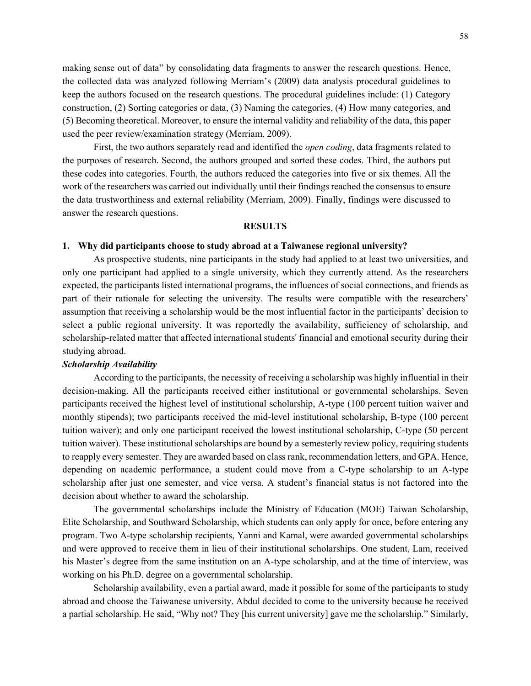making sense out of data" by consolidating data fragments to answer the research questions. Hence, the collected data was analyzed following Merriam's (2009) data analysis procedural guidelines to keep the authors focused on the research questions. The procedural guidelines include: (1) Category construction, (2) Sorting categories or data, (3) Naming the categories, (4) How many categories, and (5) Becoming theoretical. Moreover, to ensure the internal validity and reliability of the data, this paper used the peer review/examination strategy (Merriam, 2009).

First, the two authors separately read and identified the *open coding*, data fragments related to the purposes of research. Second, the authors grouped and sorted these codes. Third, the authors put these codes into categories. Fourth, the authors reduced the categories into five or six themes. All the work of the researchers was carried out individually until their findings reached the consensus to ensure the data trustworthiness and external reliability (Merriam, 2009). Finally, findings were discussed to answer the research questions.

#### **RESULTS**

#### **1. Why did participants choose to study abroad at a Taiwanese regional university?**

As prospective students, nine participants in the study had applied to at least two universities, and only one participant had applied to a single university, which they currently attend. As the researchers expected, the participants listed international programs, the influences of social connections, and friends as part of their rationale for selecting the university. The results were compatible with the researchers' assumption that receiving a scholarship would be the most influential factor in the participants' decision to select a public regional university. It was reportedly the availability, sufficiency of scholarship, and scholarship-related matter that affected international students' financial and emotional security during their studying abroad.

## *Scholarship Availability*

According to the participants, the necessity of receiving a scholarship was highly influential in their decision-making. All the participants received either institutional or governmental scholarships. Seven participants received the highest level of institutional scholarship, A-type (100 percent tuition waiver and monthly stipends); two participants received the mid-level institutional scholarship, B-type (100 percent tuition waiver); and only one participant received the lowest institutional scholarship, C-type (50 percent tuition waiver). These institutional scholarships are bound by a semesterly review policy, requiring students to reapply every semester. They are awarded based on class rank, recommendation letters, and GPA. Hence, depending on academic performance, a student could move from a C-type scholarship to an A-type scholarship after just one semester, and vice versa. A student's financial status is not factored into the decision about whether to award the scholarship.

The governmental scholarships include the Ministry of Education (MOE) Taiwan Scholarship, Elite Scholarship, and Southward Scholarship, which students can only apply for once, before entering any program. Two A-type scholarship recipients, Yanni and Kamal, were awarded governmental scholarships and were approved to receive them in lieu of their institutional scholarships. One student, Lam, received his Master's degree from the same institution on an A-type scholarship, and at the time of interview, was working on his Ph.D. degree on a governmental scholarship.

Scholarship availability, even a partial award, made it possible for some of the participants to study abroad and choose the Taiwanese university. Abdul decided to come to the university because he received a partial scholarship. He said, "Why not? They [his current university] gave me the scholarship." Similarly,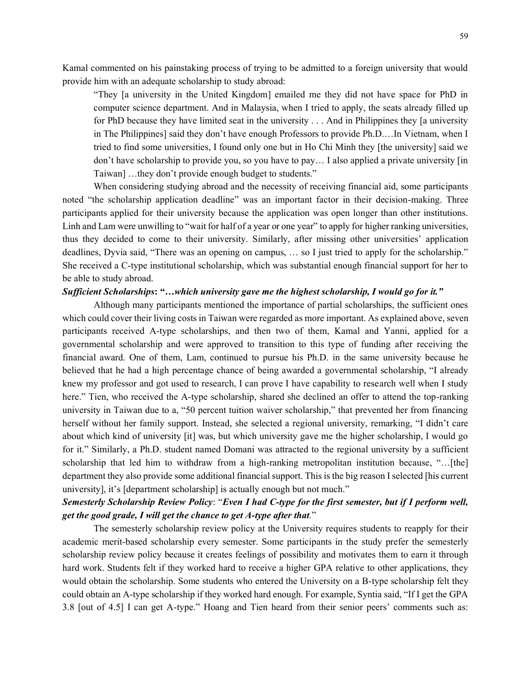Kamal commented on his painstaking process of trying to be admitted to a foreign university that would provide him with an adequate scholarship to study abroad:

"They [a university in the United Kingdom] emailed me they did not have space for PhD in computer science department. And in Malaysia, when I tried to apply, the seats already filled up for PhD because they have limited seat in the university . . . And in Philippines they [a university in The Philippines] said they don't have enough Professors to provide Ph.D.…In Vietnam, when I tried to find some universities, I found only one but in Ho Chi Minh they [the university] said we don't have scholarship to provide you, so you have to pay… I also applied a private university [in Taiwan] …they don't provide enough budget to students."

When considering studying abroad and the necessity of receiving financial aid, some participants noted "the scholarship application deadline" was an important factor in their decision-making. Three participants applied for their university because the application was open longer than other institutions. Linh and Lam were unwilling to "wait for half of a year or one year" to apply for higher ranking universities, thus they decided to come to their university. Similarly, after missing other universities' application deadlines, Dyvia said, "There was an opening on campus, … so I just tried to apply for the scholarship." She received a C-type institutional scholarship, which was substantial enough financial support for her to be able to study abroad.

## *Sufficient Scholarships***: "…***which university gave me the highest scholarship, I would go for it."*

Although many participants mentioned the importance of partial scholarships, the sufficient ones which could cover their living costs in Taiwan were regarded as more important. As explained above, seven participants received A-type scholarships, and then two of them, Kamal and Yanni, applied for a governmental scholarship and were approved to transition to this type of funding after receiving the financial award. One of them, Lam, continued to pursue his Ph.D. in the same university because he believed that he had a high percentage chance of being awarded a governmental scholarship, "I already knew my professor and got used to research, I can prove I have capability to research well when I study here." Tien, who received the A-type scholarship, shared she declined an offer to attend the top-ranking university in Taiwan due to a, "50 percent tuition waiver scholarship," that prevented her from financing herself without her family support. Instead, she selected a regional university, remarking, "I didn't care about which kind of university [it] was, but which university gave me the higher scholarship, I would go for it." Similarly, a Ph.D. student named Domani was attracted to the regional university by a sufficient scholarship that led him to withdraw from a high-ranking metropolitan institution because, "…[the] department they also provide some additional financial support. This is the big reason I selected [his current university], it's [department scholarship] is actually enough but not much."

# *Semesterly Scholarship Review Policy*: "*Even I had C-type for the first semester, but if I perform well, get the good grade, I will get the chance to get A-type after that.*"

The semesterly scholarship review policy at the University requires students to reapply for their academic merit-based scholarship every semester. Some participants in the study prefer the semesterly scholarship review policy because it creates feelings of possibility and motivates them to earn it through hard work. Students felt if they worked hard to receive a higher GPA relative to other applications, they would obtain the scholarship. Some students who entered the University on a B-type scholarship felt they could obtain an A-type scholarship if they worked hard enough. For example, Syntia said, "If I get the GPA 3.8 [out of 4.5] I can get A-type." Hoang and Tien heard from their senior peers' comments such as: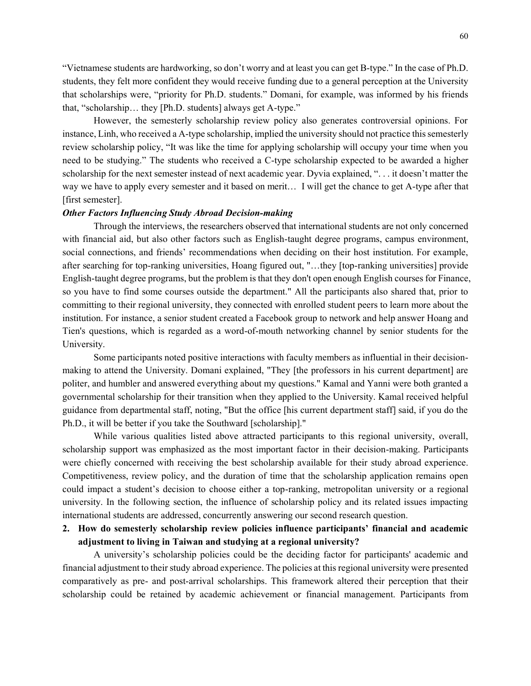"Vietnamese students are hardworking, so don't worry and at least you can get B-type." In the case of Ph.D. students, they felt more confident they would receive funding due to a general perception at the University that scholarships were, "priority for Ph.D. students." Domani, for example, was informed by his friends that, "scholarship… they [Ph.D. students] always get A-type."

However, the semesterly scholarship review policy also generates controversial opinions. For instance, Linh, who received a A-type scholarship, implied the university should not practice this semesterly review scholarship policy, "It was like the time for applying scholarship will occupy your time when you need to be studying." The students who received a C-type scholarship expected to be awarded a higher scholarship for the next semester instead of next academic year. Dyvia explained, ". . . it doesn't matter the way we have to apply every semester and it based on merit… I will get the chance to get A-type after that [first semester].

## *Other Factors Influencing Study Abroad Decision-making*

Through the interviews, the researchers observed that international students are not only concerned with financial aid, but also other factors such as English-taught degree programs, campus environment, social connections, and friends' recommendations when deciding on their host institution. For example, after searching for top-ranking universities, Hoang figured out, "…they [top-ranking universities] provide English-taught degree programs, but the problem is that they don't open enough English courses for Finance, so you have to find some courses outside the department." All the participants also shared that, prior to committing to their regional university, they connected with enrolled student peers to learn more about the institution. For instance, a senior student created a Facebook group to network and help answer Hoang and Tien's questions, which is regarded as a word-of-mouth networking channel by senior students for the University.

Some participants noted positive interactions with faculty members as influential in their decisionmaking to attend the University. Domani explained, "They [the professors in his current department] are politer, and humbler and answered everything about my questions." Kamal and Yanni were both granted a governmental scholarship for their transition when they applied to the University. Kamal received helpful guidance from departmental staff, noting, "But the office [his current department staff] said, if you do the Ph.D., it will be better if you take the Southward [scholarship]."

While various qualities listed above attracted participants to this regional university, overall, scholarship support was emphasized as the most important factor in their decision-making. Participants were chiefly concerned with receiving the best scholarship available for their study abroad experience. Competitiveness, review policy, and the duration of time that the scholarship application remains open could impact a student's decision to choose either a top-ranking, metropolitan university or a regional university. In the following section, the influence of scholarship policy and its related issues impacting international students are addressed, concurrently answering our second research question.

## **2. How do semesterly scholarship review policies influence participants' financial and academic adjustment to living in Taiwan and studying at a regional university?**

A university's scholarship policies could be the deciding factor for participants' academic and financial adjustment to their study abroad experience. The policies at this regional university were presented comparatively as pre- and post-arrival scholarships. This framework altered their perception that their scholarship could be retained by academic achievement or financial management. Participants from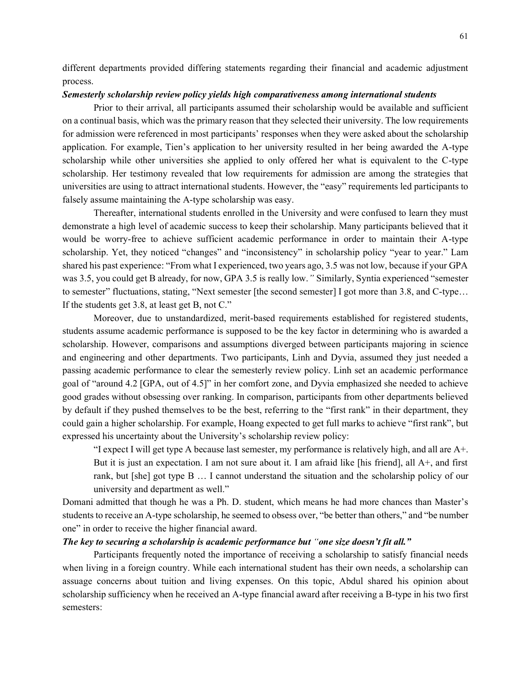different departments provided differing statements regarding their financial and academic adjustment process.

## *Semesterly scholarship review policy yields high comparativeness among international students*

Prior to their arrival, all participants assumed their scholarship would be available and sufficient on a continual basis, which was the primary reason that they selected their university. The low requirements for admission were referenced in most participants' responses when they were asked about the scholarship application. For example, Tien's application to her university resulted in her being awarded the A-type scholarship while other universities she applied to only offered her what is equivalent to the C-type scholarship. Her testimony revealed that low requirements for admission are among the strategies that universities are using to attract international students. However, the "easy" requirements led participants to falsely assume maintaining the A-type scholarship was easy.

Thereafter, international students enrolled in the University and were confused to learn they must demonstrate a high level of academic success to keep their scholarship. Many participants believed that it would be worry-free to achieve sufficient academic performance in order to maintain their A-type scholarship. Yet, they noticed "changes" and "inconsistency" in scholarship policy "year to year." Lam shared his past experience: "From what I experienced, two years ago, 3.5 was not low, because if your GPA was 3.5, you could get B already, for now, GPA 3.5 is really low.*"* Similarly, Syntia experienced "semester to semester" fluctuations, stating, "Next semester [the second semester] I got more than 3.8, and C-type… If the students get 3.8, at least get B, not C."

Moreover, due to unstandardized, merit-based requirements established for registered students, students assume academic performance is supposed to be the key factor in determining who is awarded a scholarship. However, comparisons and assumptions diverged between participants majoring in science and engineering and other departments. Two participants, Linh and Dyvia, assumed they just needed a passing academic performance to clear the semesterly review policy. Linh set an academic performance goal of "around 4.2 [GPA, out of 4.5]" in her comfort zone, and Dyvia emphasized she needed to achieve good grades without obsessing over ranking. In comparison, participants from other departments believed by default if they pushed themselves to be the best, referring to the "first rank" in their department, they could gain a higher scholarship. For example, Hoang expected to get full marks to achieve "first rank", but expressed his uncertainty about the University's scholarship review policy:

"I expect I will get type A because last semester, my performance is relatively high, and all are A+. But it is just an expectation. I am not sure about it. I am afraid like [his friend], all A+, and first rank, but [she] got type B … I cannot understand the situation and the scholarship policy of our university and department as well."

Domani admitted that though he was a Ph. D. student, which means he had more chances than Master's students to receive an A-type scholarship, he seemed to obsess over, "be better than others," and "be number one" in order to receive the higher financial award.

## *The key to securing a scholarship is academic performance but "one size doesn't fit all."*

Participants frequently noted the importance of receiving a scholarship to satisfy financial needs when living in a foreign country. While each international student has their own needs, a scholarship can assuage concerns about tuition and living expenses. On this topic, Abdul shared his opinion about scholarship sufficiency when he received an A-type financial award after receiving a B-type in his two first semesters: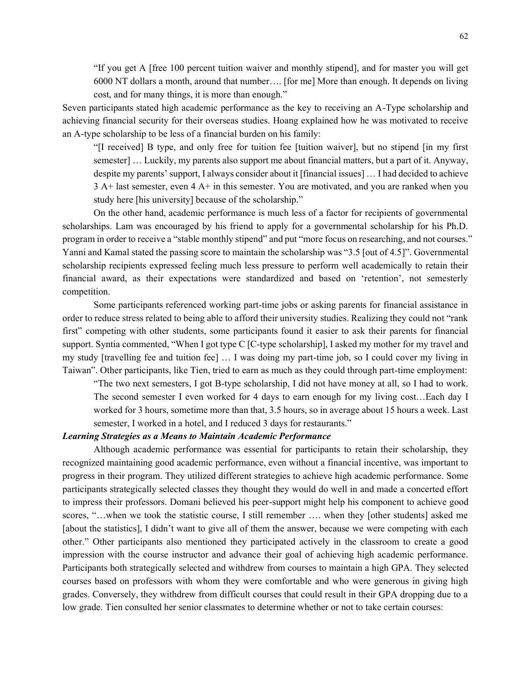"If you get A [free 100 percent tuition waiver and monthly stipend], and for master you will get 6000 NT dollars a month, around that number…. [for me] More than enough. It depends on living cost, and for many things, it is more than enough."

Seven participants stated high academic performance as the key to receiving an A-Type scholarship and achieving financial security for their overseas studies. Hoang explained how he was motivated to receive an A-type scholarship to be less of a financial burden on his family:

"[I received] B type, and only free for tuition fee [tuition waiver], but no stipend [in my first semester] … Luckily, my parents also support me about financial matters, but a part of it. Anyway, despite my parents' support, I always consider about it [financial issues] … I had decided to achieve 3 A+ last semester, even 4 A+ in this semester. You are motivated, and you are ranked when you study here [his university] because of the scholarship."

On the other hand, academic performance is much less of a factor for recipients of governmental scholarships. Lam was encouraged by his friend to apply for a governmental scholarship for his Ph.D. program in order to receive a "stable monthly stipend" and put "more focus on researching, and not courses." Yanni and Kamal stated the passing score to maintain the scholarship was "3.5 [out of 4.5]". Governmental scholarship recipients expressed feeling much less pressure to perform well academically to retain their financial award, as their expectations were standardized and based on 'retention', not semesterly competition.

Some participants referenced working part-time jobs or asking parents for financial assistance in order to reduce stress related to being able to afford their university studies. Realizing they could not "rank first" competing with other students, some participants found it easier to ask their parents for financial support. Syntia commented, "When I got type C [C-type scholarship], I asked my mother for my travel and my study [travelling fee and tuition fee] … I was doing my part-time job, so I could cover my living in Taiwan". Other participants, like Tien, tried to earn as much as they could through part-time employment:

"The two next semesters, I got B-type scholarship, I did not have money at all, so I had to work. The second semester I even worked for 4 days to earn enough for my living cost…Each day I worked for 3 hours, sometime more than that, 3.5 hours, so in average about 15 hours a week. Last semester, I worked in a hotel, and I reduced 3 days for restaurants."

## *Learning Strategies as a Means to Maintain Academic Performance*

Although academic performance was essential for participants to retain their scholarship, they recognized maintaining good academic performance, even without a financial incentive, was important to progress in their program. They utilized different strategies to achieve high academic performance. Some participants strategically selected classes they thought they would do well in and made a concerted effort to impress their professors. Domani believed his peer-support might help his component to achieve good scores, "…when we took the statistic course, I still remember …. when they [other students] asked me [about the statistics], I didn't want to give all of them the answer, because we were competing with each other." Other participants also mentioned they participated actively in the classroom to create a good impression with the course instructor and advance their goal of achieving high academic performance. Participants both strategically selected and withdrew from courses to maintain a high GPA. They selected courses based on professors with whom they were comfortable and who were generous in giving high grades. Conversely, they withdrew from difficult courses that could result in their GPA dropping due to a low grade. Tien consulted her senior classmates to determine whether or not to take certain courses: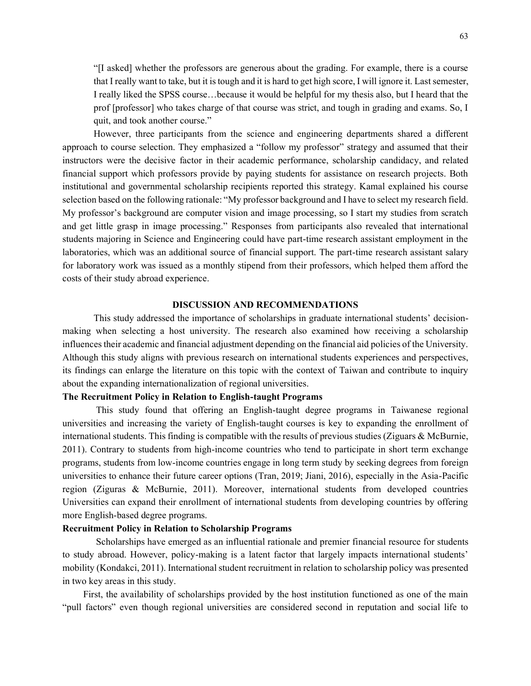"[I asked] whether the professors are generous about the grading. For example, there is a course that I really want to take, but it is tough and it is hard to get high score, I will ignore it. Last semester, I really liked the SPSS course…because it would be helpful for my thesis also, but I heard that the prof [professor] who takes charge of that course was strict, and tough in grading and exams. So, I quit, and took another course."

However, three participants from the science and engineering departments shared a different approach to course selection. They emphasized a "follow my professor" strategy and assumed that their instructors were the decisive factor in their academic performance, scholarship candidacy, and related financial support which professors provide by paying students for assistance on research projects. Both institutional and governmental scholarship recipients reported this strategy. Kamal explained his course selection based on the following rationale: "My professor background and I have to select my research field. My professor's background are computer vision and image processing, so I start my studies from scratch and get little grasp in image processing." Responses from participants also revealed that international students majoring in Science and Engineering could have part-time research assistant employment in the laboratories, which was an additional source of financial support. The part-time research assistant salary for laboratory work was issued as a monthly stipend from their professors, which helped them afford the costs of their study abroad experience.

## **DISCUSSION AND RECOMMENDATIONS**

This study addressed the importance of scholarships in graduate international students' decisionmaking when selecting a host university. The research also examined how receiving a scholarship influences their academic and financial adjustment depending on the financial aid policies of the University. Although this study aligns with previous research on international students experiences and perspectives, its findings can enlarge the literature on this topic with the context of Taiwan and contribute to inquiry about the expanding internationalization of regional universities.

## **The Recruitment Policy in Relation to English-taught Programs**

This study found that offering an English-taught degree programs in Taiwanese regional universities and increasing the variety of English-taught courses is key to expanding the enrollment of international students. This finding is compatible with the results of previous studies (Ziguars & McBurnie, 2011). Contrary to students from high-income countries who tend to participate in short term exchange programs, students from low-income countries engage in long term study by seeking degrees from foreign universities to enhance their future career options (Tran, 2019; Jiani, 2016), especially in the Asia-Pacific region (Ziguras & McBurnie, 2011). Moreover, international students from developed countries Universities can expand their enrollment of international students from developing countries by offering more English-based degree programs.

## **Recruitment Policy in Relation to Scholarship Programs**

Scholarships have emerged as an influential rationale and premier financial resource for students to study abroad. However, policy-making is a latent factor that largely impacts international students' mobility (Kondakci, 2011). International student recruitment in relation to scholarship policy was presented in two key areas in this study.

First, the availability of scholarships provided by the host institution functioned as one of the main "pull factors" even though regional universities are considered second in reputation and social life to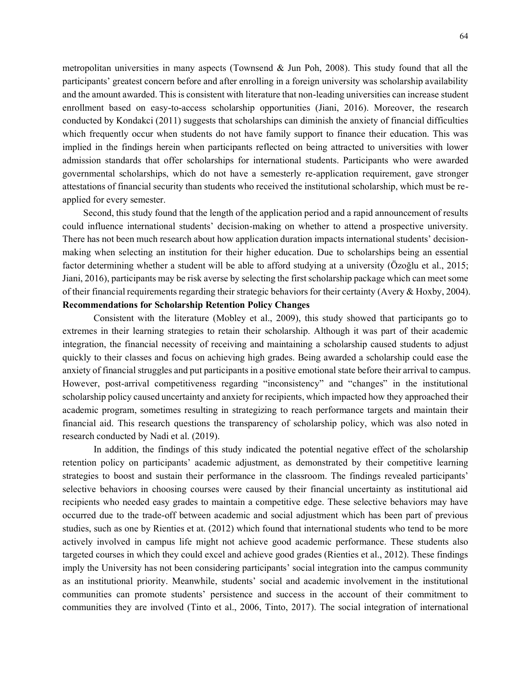metropolitan universities in many aspects (Townsend  $\&$  Jun Poh, 2008). This study found that all the participants' greatest concern before and after enrolling in a foreign university was scholarship availability and the amount awarded. This is consistent with literature that non-leading universities can increase student enrollment based on easy-to-access scholarship opportunities (Jiani, 2016). Moreover, the research conducted by Kondakci (2011) suggests that scholarships can diminish the anxiety of financial difficulties which frequently occur when students do not have family support to finance their education. This was implied in the findings herein when participants reflected on being attracted to universities with lower admission standards that offer scholarships for international students. Participants who were awarded governmental scholarships, which do not have a semesterly re-application requirement, gave stronger attestations of financial security than students who received the institutional scholarship, which must be reapplied for every semester.

Second, this study found that the length of the application period and a rapid announcement of results could influence international students' decision-making on whether to attend a prospective university. There has not been much research about how application duration impacts international students' decisionmaking when selecting an institution for their higher education. Due to scholarships being an essential factor determining whether a student will be able to afford studying at a university (Özoğlu et al., 2015; Jiani, 2016), participants may be risk averse by selecting the first scholarship package which can meet some of their financial requirements regarding their strategic behaviors for their certainty (Avery & Hoxby, 2004). **Recommendations for Scholarship Retention Policy Changes** 

Consistent with the literature (Mobley et al., 2009), this study showed that participants go to extremes in their learning strategies to retain their scholarship. Although it was part of their academic integration, the financial necessity of receiving and maintaining a scholarship caused students to adjust quickly to their classes and focus on achieving high grades. Being awarded a scholarship could ease the anxiety of financial struggles and put participants in a positive emotional state before their arrival to campus. However, post-arrival competitiveness regarding "inconsistency" and "changes" in the institutional scholarship policy caused uncertainty and anxiety for recipients, which impacted how they approached their academic program, sometimes resulting in strategizing to reach performance targets and maintain their financial aid. This research questions the transparency of scholarship policy, which was also noted in research conducted by Nadi et al. (2019).

In addition, the findings of this study indicated the potential negative effect of the scholarship retention policy on participants' academic adjustment, as demonstrated by their competitive learning strategies to boost and sustain their performance in the classroom. The findings revealed participants' selective behaviors in choosing courses were caused by their financial uncertainty as institutional aid recipients who needed easy grades to maintain a competitive edge. These selective behaviors may have occurred due to the trade-off between academic and social adjustment which has been part of previous studies, such as one by Rienties et at. (2012) which found that international students who tend to be more actively involved in campus life might not achieve good academic performance. These students also targeted courses in which they could excel and achieve good grades (Rienties et al., 2012). These findings imply the University has not been considering participants' social integration into the campus community as an institutional priority. Meanwhile, students' social and academic involvement in the institutional communities can promote students' persistence and success in the account of their commitment to communities they are involved (Tinto et al., 2006, Tinto, 2017). The social integration of international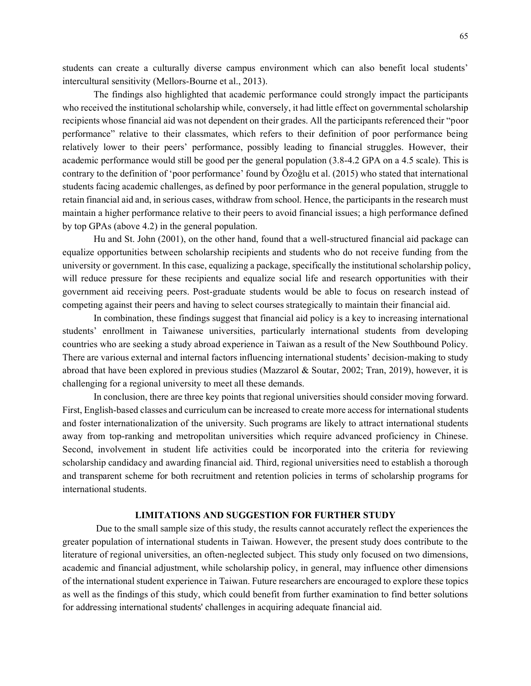students can create a culturally diverse campus environment which can also benefit local students' intercultural sensitivity (Mellors-Bourne et al., 2013).

The findings also highlighted that academic performance could strongly impact the participants who received the institutional scholarship while, conversely, it had little effect on governmental scholarship recipients whose financial aid was not dependent on their grades. All the participants referenced their "poor performance" relative to their classmates, which refers to their definition of poor performance being relatively lower to their peers' performance, possibly leading to financial struggles. However, their academic performance would still be good per the general population (3.8-4.2 GPA on a 4.5 scale). This is contrary to the definition of 'poor performance' found by Özoğlu et al. (2015) who stated that international students facing academic challenges, as defined by poor performance in the general population, struggle to retain financial aid and, in serious cases, withdraw from school. Hence, the participants in the research must maintain a higher performance relative to their peers to avoid financial issues; a high performance defined by top GPAs (above 4.2) in the general population.

Hu and St. John (2001), on the other hand, found that a well-structured financial aid package can equalize opportunities between scholarship recipients and students who do not receive funding from the university or government. In this case, equalizing a package, specifically the institutional scholarship policy, will reduce pressure for these recipients and equalize social life and research opportunities with their government aid receiving peers. Post-graduate students would be able to focus on research instead of competing against their peers and having to select courses strategically to maintain their financial aid.

In combination, these findings suggest that financial aid policy is a key to increasing international students' enrollment in Taiwanese universities, particularly international students from developing countries who are seeking a study abroad experience in Taiwan as a result of the New Southbound Policy. There are various external and internal factors influencing international students' decision-making to study abroad that have been explored in previous studies (Mazzarol & Soutar, 2002; Tran, 2019), however, it is challenging for a regional university to meet all these demands.

In conclusion, there are three key points that regional universities should consider moving forward. First, English-based classes and curriculum can be increased to create more access for international students and foster internationalization of the university. Such programs are likely to attract international students away from top-ranking and metropolitan universities which require advanced proficiency in Chinese. Second, involvement in student life activities could be incorporated into the criteria for reviewing scholarship candidacy and awarding financial aid. Third, regional universities need to establish a thorough and transparent scheme for both recruitment and retention policies in terms of scholarship programs for international students.

## **LIMITATIONS AND SUGGESTION FOR FURTHER STUDY**

Due to the small sample size of this study, the results cannot accurately reflect the experiences the greater population of international students in Taiwan. However, the present study does contribute to the literature of regional universities, an often-neglected subject. This study only focused on two dimensions, academic and financial adjustment, while scholarship policy, in general, may influence other dimensions of the international student experience in Taiwan. Future researchers are encouraged to explore these topics as well as the findings of this study, which could benefit from further examination to find better solutions for addressing international students' challenges in acquiring adequate financial aid.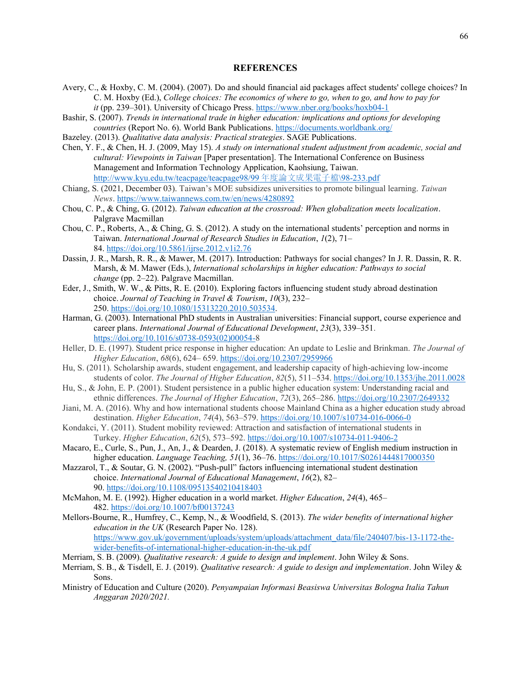#### **REFERENCES**

- Avery, C., & Hoxby, C. M. (2004). (2007). Do and should financial aid packages affect students' college choices? In C. M. Hoxby (Ed.), *College choices: The economics of where to go, when to go, and how to pay for it* (pp. 239–301). University of Chicago Press.<https://www.nber.org/books/hoxb04-1>
- Bashir, S. (2007). *Trends in international trade in higher education: implications and options for developing countries* (Report No. 6). World Bank Publications[. https://documents.worldbank.org/](https://documents.worldbank.org/)
- Bazeley. (2013). *Qualitative data analysis: Practical strategies*. SAGE Publications.
- Chen, Y. F., & Chen, H. J. (2009, May 15). *A study on international student adjustment from academic, social and cultural: Viewpoints in Taiwan* [Paper presentation]. The International Conference on Business Management and Information Technology Application, Kaohsiung, Taiwan. http://www.kyu.edu.tw/teacpage/teacpage98/99年度論文成果電子檔\98-233.pdf
- Chiang, S. (2021, December 03). Taiwan's MOE subsidizes universities to promote bilingual learning. *Taiwan News*[. https://www.taiwannews.com.tw/en/news/4280892](https://www.taiwannews.com.tw/en/news/4280892)
- Chou, C. P., & Ching, G. (2012). *Taiwan education at the crossroad: When globalization meets localization*. Palgrave Macmillan
- Chou, C. P., Roberts, A., & Ching, G. S. (2012). A study on the international students' perception and norms in Taiwan. *International Journal of Research Studies in Education*, *1*(2), 71– 84. <https://doi.org/10.5861/ijrse.2012.v1i2.76>
- Dassin, J. R., Marsh, R. R., & Mawer, M. (2017). Introduction: Pathways for social changes? In J. R. Dassin, R. R. Marsh, & M. Mawer (Eds.), *International scholarships in higher education: Pathways to social change* (pp. 2–22). Palgrave Macmillan.
- Eder, J., Smith, W. W., & Pitts, R. E. (2010). Exploring factors influencing student study abroad destination choice. *Journal of Teaching in Travel & Tourism*, *10*(3), 232– 250. [https://doi.org/10.1080/15313220.2010.503534.](https://doi.org/10.1080/15313220.2010.503534)
- Harman, G. (2003). International PhD students in Australian universities: Financial support, course experience and career plans. *International Journal of Educational Development*, *23*(3), 339–351. [https://doi.org/10.1016/s0738-0593\(02\)00054-8](https://doi.org/10.1016/s0738-0593(02)00054-)
- Heller, D. E. (1997). Student price response in higher education: An update to Leslie and Brinkman. *The Journal of Higher Education*, *68*(6), 624– 659.<https://doi.org/10.2307/2959966>
- Hu, S. (2011). Scholarship awards, student engagement, and leadership capacity of high-achieving low-income students of color. *The Journal of Higher Education*, *82*(5), 511–534. <https://doi.org/10.1353/jhe.2011.0028>
- Hu, S., & John, E. P. (2001). Student persistence in a public higher education system: Understanding racial and ethnic differences. *The Journal of Higher Education*, *72*(3), 265–286. <https://doi.org/10.2307/2649332>
- Jiani, M. A. (2016). Why and how international students choose Mainland China as a higher education study abroad destination. *Higher Education*, *74*(4), 563–579. <https://doi.org/10.1007/s10734-016-0066-0>
- Kondakci, Y. (2011). Student mobility reviewed: Attraction and satisfaction of international students in Turkey. *Higher Education*, *62*(5), 573–592[. https://doi.org/10.1007/s10734-011-9406-2](https://doi.org/10.1007/s10734-011-9406-2)
- Macaro, E., Curle, S., Pun, J., An, J., & Dearden, J. (2018). A systematic review of English medium instruction in higher education. *Language Teaching, 51*(1), 36–76.<https://doi.org/10.1017/S0261444817000350>
- Mazzarol, T., & Soutar, G. N. (2002). "Push-pull" factors influencing international student destination choice. *International Journal of Educational Management*, *16*(2), 82– 90. <https://doi.org/10.1108/09513540210418403>
- McMahon, M. E. (1992). Higher education in a world market. *Higher Education*, *24*(4), 465– 482. <https://doi.org/10.1007/bf00137243>
- Mellors-Bourne, R., Humfrey, C., Kemp, N., & Woodfield, S. (2013). *The wider benefits of international higher education in the UK* (Research Paper No. 128)[.](https://www.gov.uk/government/uploads/system/uploads/attachment_data/file/240407/bis-13-1172-the-wider-benefits-of-international-higher-education-in-the-uk.pdf) [https://www.gov.uk/government/uploads/system/uploads/attachment\\_data/file/240407/bis-13-1172-the](https://www.gov.uk/government/uploads/system/uploads/attachment_data/file/240407/bis-13-1172-the-wider-benefits-of-international-higher-education-in-the-uk.pdf)[wider-benefits-of-international-higher-education-in-the-uk.pdf](https://www.gov.uk/government/uploads/system/uploads/attachment_data/file/240407/bis-13-1172-the-wider-benefits-of-international-higher-education-in-the-uk.pdf)
- Merriam, S. B. (2009). *Qualitative research: A guide to design and implement*. John Wiley & Sons.
- Merriam, S. B., & Tisdell, E. J. (2019). *Qualitative research: A guide to design and implementation*. John Wiley & Sons.
- Ministry of Education and Culture (2020). *Penyampaian Informasi Beasiswa Universitas Bologna Italia Tahun Anggaran 2020/2021.*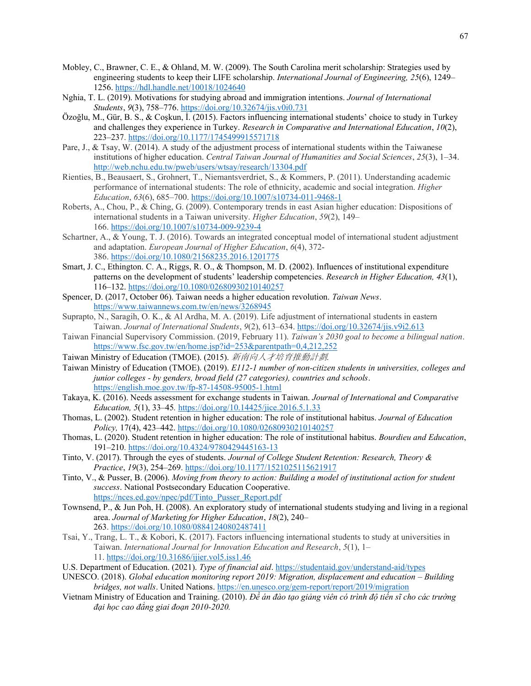- Mobley, C., Brawner, C. E., & Ohland, M. W. (2009). The South Carolina merit scholarship: Strategies used by engineering students to keep their LIFE scholarship. *International Journal of Engineering, 25*(6), 1249– 1256.<https://hdl.handle.net/10018/1024640>
- Nghia, T. L. (2019). Motivations for studying abroad and immigration intentions. *Journal of International Students*, *9*(3), 758–776. <https://doi.org/10.32674/jis.v0i0.731>
- Özoğlu, M., Gür, B. S., & Coşkun, İ. (2015). Factors influencing international students' choice to study in Turkey and challenges they experience in Turkey. *Research in Comparative and International Education*, *10*(2), 223–237.<https://doi.org/10.1177/1745499915571718>
- Pare, J., & Tsay, W. (2014). A study of the adjustment process of international students within the Taiwanese institutions of higher education. *Central Taiwan Journal of Humanities and Social Sciences*, *25*(3), 1–34. <http://web.nchu.edu.tw/pweb/users/wtsay/research/13304.pdf>
- Rienties, B., Beausaert, S., Grohnert, T., Niemantsverdriet, S., & Kommers, P. (2011). Understanding academic performance of international students: The role of ethnicity, academic and social integration. *Higher Education*, *63*(6), 685–700. <https://doi.org/10.1007/s10734-011-9468-1>
- Roberts, A., Chou, P., & Ching, G. (2009). Contemporary trends in east Asian higher education: Dispositions of international students in a Taiwan university. *Higher Education*, *59*(2), 149– 166. <https://doi.org/10.1007/s10734-009-9239-4>
- Schartner, A., & Young, T. J. (2016). Towards an integrated conceptual model of international student adjustment and adaptation. *European Journal of Higher Education*, *6*(4), 372- 386. <https://doi.org/10.1080/21568235.2016.1201775>
- Smart, J. C., Ethington. C. A., Riggs, R. O., & Thompson, M. D. (2002). Influences of institutional expenditure patterns on the development of students' leadership competencies. *Research in Higher Education, 43*(1), 116–132. <https://doi.org/10.1080/02680930210140257>
- Spencer, D. (2017, October 06). Taiwan needs a higher education revolution. *Taiwan News*[.](https://www.taiwannews.com.tw/en/news/3268945) <https://www.taiwannews.com.tw/en/news/3268945>
- Suprapto, N., Saragih, O. K., & Al Ardha, M. A. (2019). Life adjustment of international students in eastern Taiwan. *Journal of International Students*, *9*(2), 613–634[. https://doi.org/10.32674/jis.v9i2.613](https://doi.org/10.32674/jis.v9i2.613)
- Taiwan Financial Supervisory Commission. (2019, February 11). *Taiwan's 2030 goal to become a bilingual nation*. <https://www.fsc.gov.tw/en/home.jsp?id=253&parentpath=0,4,212,252>
- Taiwan Ministry of Education (TMOE). (2015). 新南向人才培育推動計劃.
- Taiwan Ministry of Education (TMOE). (2019). *E112-1 number of non-citizen students in universities, colleges and junior colleges - by genders, broad field (27 categories), countries and schools*. <https://english.moe.gov.tw/fp-87-14508-95005-1.html>
- Takaya, K. (2016). Needs assessment for exchange students in Taiwan. *Journal of International and Comparative Education, 5*(1), 33–45*.* <https://doi.org/10.14425/jice.2016.5.1.33>
- Thomas, L. (2002). Student retention in higher education: The role of institutional habitus. *Journal of Education Policy,* 17(4), 423–442. <https://doi.org/10.1080/02680930210140257>
- Thomas, L. (2020). Student retention in higher education: The role of institutional habitus. *Bourdieu and Education*, 191–210.<https://doi.org/10.4324/9780429445163-13>
- Tinto, V. (2017). Through the eyes of students. *Journal of College Student Retention: Research, Theory & Practice*, *19*(3), 254–269[. https://doi.org/10.1177/1521025115621917](https://doi.org/10.1177/1521025115621917)
- Tinto, V., & Pusser, B. (2006). *Moving from theory to action: Building a model of institutional action for student success*. National Postsecondary Education Cooperative. [https://nces.ed.gov/npec/pdf/Tinto\\_Pusser\\_Report.pdf](https://nces.ed.gov/npec/pdf/Tinto_Pusser_Report.pdf)
- Townsend, P., & Jun Poh, H. (2008). An exploratory study of international students studying and living in a regional area. *Journal of Marketing for Higher Education*, *18*(2), 240– 263. <https://doi.org/10.1080/08841240802487411>
- Tsai, Y., Trang, L. T., & Kobori, K. (2017). Factors influencing international students to study at universities in Taiwan. *International Journal for Innovation Education and Research*, *5*(1), 1– 11. <https://doi.org/10.31686/ijier.vol5.iss1.46>
- U.S. Department of Education. (2021). *Type of financial aid*.<https://studentaid.gov/understand-aid/types>
- UNESCO. (2018). *Global education monitoring report 2019: Migration, displacement and education Building bridges, not walls*. United Nations. <https://en.unesco.org/gem-report/report/2019/migration>
- Vietnam Ministry of Education and Training. (2010). *Đề án đào tạo giảng viên có trình độ tiến sĩ cho các trường đại học cao đẳng giai đoạn 2010-2020.*